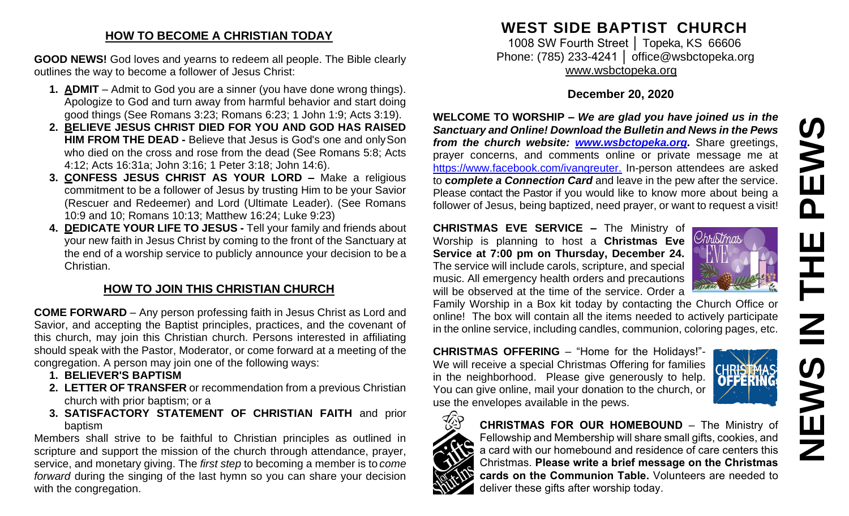#### **HOW TO BECOME A CHRISTIAN TODAY**

**GOOD NEWS!** God loves and yearns to redeem all people. The Bible clearly outlines the way to become a follower of Jesus Christ:

- **1. ADMIT**  Admit to God you are a sinner (you have done wrong things). Apologize to God and turn away from harmful behavior and start doing good things (See Romans 3:23; Romans 6:23; 1 John 1:9; Acts 3:19).
- **2. BELIEVE JESUS CHRIST DIED FOR YOU AND GOD HAS RAISED HIM FROM THE DEAD -** Believe that Jesus is God's one and only Son who died on the cross and rose from the dead (See Romans 5:8; Acts 4:12; Acts 16:31a; John 3:16; 1 Peter 3:18; John 14:6).
- **3. CONFESS JESUS CHRIST AS YOUR LORD –** Make a religious commitment to be a follower of Jesus by trusting Him to be your Savior (Rescuer and Redeemer) and Lord (Ultimate Leader). (See Romans 10:9 and 10; Romans 10:13; Matthew 16:24; Luke 9:23)
- **4. DEDICATE YOUR LIFE TO JESUS -** Tell your family and friends about your new faith in Jesus Christ by coming to the front of the Sanctuary at the end of a worship service to publicly announce your decision to be a Christian.

## **HOW TO JOIN THIS CHRISTIAN CHURCH**

**COME FORWARD** – Any person professing faith in Jesus Christ as Lord and Savior, and accepting the Baptist principles, practices, and the covenant of this church, may join this Christian church. Persons interested in affiliating should speak with the Pastor, Moderator, or come forward at a meeting of the congregation. A person may join one of the following ways:

- **1. BELIEVER'S BAPTISM**
- **2. LETTER OF TRANSFER** or recommendation from a previous Christian church with prior baptism; or a
- **3. SATISFACTORY STATEMENT OF CHRISTIAN FAITH** and prior baptism

Members shall strive to be faithful to Christian principles as outlined in scripture and support the mission of the church through attendance, prayer, service, and monetary giving. The *first step* to becoming a member is to *come forward* during the singing of the last hymn so you can share your decision with the congregation.

# **WEST SIDE BAPTIST CHURCH**

1008 SW Fourth Street | Topeka, KS 66606 Phone: (785) 233-4241 │ [office@wsbctopeka.org](mailto:office@wsbctopeka.org) [www.wsbctopeka.org](http://www.wsbctopeka.org/)

## **December 20, 2020**

**WELCOME TO WORSHIP –** *We are glad you have joined us in the Sanctuary and Online! Download the Bulletin and News in the Pews from the church website: [www.wsbctopeka.org.](http://www.wsbctopeka.org/)* Share greetings, prayer concerns, and comments online or private message me at <https://www.facebook.com/ivangreuter.> In-person attendees are asked to **c***omplete a Connection Card* and leave in the pew after the service. Please contact the Pastor if you would like to know more about being a follower of Jesus, being baptized, need prayer, or want to request a visit!

**CHRISTMAS EVE SERVICE –** The Ministry of Worship is planning to host a **Christmas Eve** *Christmas* **Service at 7:00 pm on Thursday, December 24.** The service will include carols, scripture, and special music. All emergency health orders and precautions will be observed at the time of the service. Order a



Family Worship in a Box kit today by contacting the Church Office or online! The box will contain all the items needed to actively participate in the online service, including candles, communion, coloring pages, etc.

**CHRISTMAS OFFERING** – "Home for the Holidays!"- We will receive a special Christmas Offering for families in the neighborhood. Please give generously to help. You can give online, mail your donation to the church, or use the envelopes available in the pews.





**CHRISTMAS FOR OUR HOMEBOUND** – The Ministry of Fellowship and Membership will share small gifts, cookies, and a card with our homebound and residence of care centers this Christmas. **Please write a brief message on the Christmas cards on the Communion Table.** Volunteers are needed to deliver these gifts after worship today.

**NEWS IN THE PEWS**S山  $\overline{\mathbf{a}}$ Ē  $\mathbf{Z}$ **SANEWS**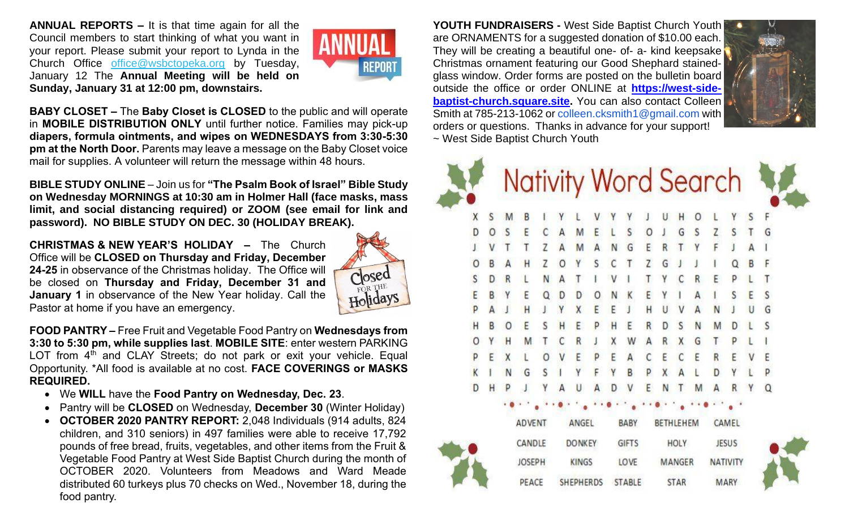**ANNUAL REPORTS –** It is that time again for all the Council members to start thinking of what you want in your report. Please submit your report to Lynda in the Church Office [office@wsbctopeka.org](mailto:office@wsbctopeka.org) by Tuesday, January 12 The **Annual Meeting will be held on Sunday, January 31 at 12:00 pm, downstairs.** 



**BABY CLOSET –** The **Baby Closet is CLOSED** to the public and will operate in **MOBILE DISTRIBUTION ONLY** until further notice. Families may pick-up **diapers, formula ointments, and wipes on WEDNESDAYS from 3:30-5:30 pm at the North Door.** Parents may leave a message on the Baby Closet voice mail for supplies. A volunteer will return the message within 48 hours.

**BIBLE STUDY ONLINE** – Join us for **"The Psalm Book of Israel" Bible Study on Wednesday MORNINGS at 10:30 am in Holmer Hall (face masks, mass limit, and social distancing required) or ZOOM (see email for link and password). NO BIBLE STUDY ON DEC. 30 (HOLIDAY BREAK).**

**CHRISTMAS & NEW YEAR'S HOLIDAY –** The Church Office will be **CLOSED on Thursday and Friday, December 24-25** in observance of the Christmas holiday. The Office will be closed on **Thursday and Friday, December 31 and January 1** in observance of the New Year holiday. Call the Pastor at home if you have an emergency.



**FOOD PANTRY –** Free Fruit and Vegetable Food Pantry on **Wednesdays from 3:30 to 5:30 pm, while supplies last**. **MOBILE SITE**: enter western PARKING LOT from  $4<sup>th</sup>$  and CLAY Streets; do not park or exit your vehicle. Equal Opportunity. \*All food is available at no cost. **FACE COVERINGS or MASKS REQUIRED.**

- We **WILL** have the **Food Pantry on Wednesday, Dec. 23**.
- Pantry will be **CLOSED** on Wednesday, **December 30** (Winter Holiday)
- **OCTOBER 2020 PANTRY REPORT:** 2,048 Individuals (914 adults, 824 children, and 310 seniors) in 497 families were able to receive 17,792 pounds of free bread, fruits, vegetables, and other items from the Fruit & Vegetable Food Pantry at West Side Baptist Church during the month of OCTOBER 2020. Volunteers from Meadows and Ward Meade distributed 60 turkeys plus 70 checks on Wed., November 18, during the food pantry.

**YOUTH FUNDRAISERS -** West Side Baptist Church Youth are ORNAMENTS for a suggested donation of \$10.00 each. They will be creating a beautiful one- of- a- kind keepsake Christmas ornament featuring our Good Shephard stainedglass window. Order forms are posted on the bulletin board outside the office or order ONLINE at **[https://west-side](https://west-side-baptist-church.square.site/)[baptist-church.square.site.](https://west-side-baptist-church.square.site/)** You can also contact Colleen Smith at 785-213-1062 or colleen.cksmith1@gmail.com with orders or questions. Thanks in advance for your support! ~ West Side Baptist Church Youth





**STABLE** 

PEACE

**SHEPHERDS** 

**STAR** 

**MARY**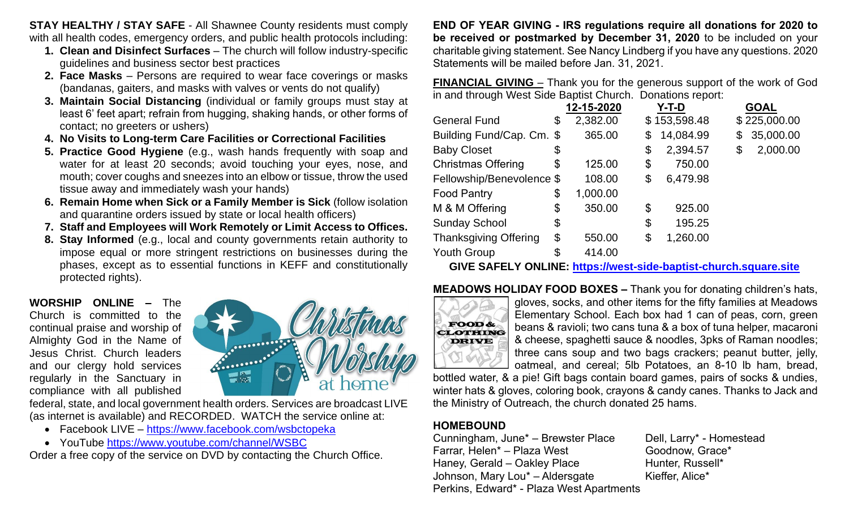**STAY HEALTHY / STAY SAFE** - All Shawnee County residents must comply with all health codes, emergency orders, and public health protocols including:

- **1. Clean and Disinfect Surfaces** The church will follow industry-specific guidelines and business sector best practices
- **2. Face Masks** Persons are required to wear face coverings or masks (bandanas, gaiters, and masks with valves or vents do not qualify)
- **3. Maintain Social Distancing** (individual or family groups must stay at least 6' feet apart; refrain from hugging, shaking hands, or other forms of contact; no greeters or ushers)
- **4. No Visits to Long-term Care Facilities or Correctional Facilities**
- **5. Practice Good Hygiene** (e.g., wash hands frequently with soap and water for at least 20 seconds; avoid touching your eyes, nose, and mouth; cover coughs and sneezes into an elbow or tissue, throw the used tissue away and immediately wash your hands)
- **6. Remain Home when Sick or a Family Member is Sick** (follow isolation and quarantine orders issued by state or local health officers)
- **7. Staff and Employees will Work Remotely or Limit Access to Offices.**
- **8. Stay Informed** (e.g., local and county governments retain authority to impose equal or more stringent restrictions on businesses during the phases, except as to essential functions in KEFF and constitutionally protected rights).

**WORSHIP ONLINE –** The Church is committed to the continual praise and worship of Almighty God in the Name of Jesus Christ. Church leaders and our clergy hold services regularly in the Sanctuary in compliance with all published



federal, state, and local government health orders. Services are broadcast LIVE (as internet is available) and RECORDED. WATCH the service online at:

- Facebook LIVE <https://www.facebook.com/wsbctopeka>
- YouTube <https://www.youtube.com/channel/WSBC>

Order a free copy of the service on DVD by contacting the Church Office.

**END OF YEAR GIVING - IRS regulations require all donations for 2020 to be received or postmarked by December 31, 2020** to be included on your charitable giving statement. See Nancy Lindberg if you have any questions. 2020 Statements will be mailed before Jan. 31, 2021.

**FINANCIAL GIVING** – Thank you for the generous support of the work of God in and through West Side Baptist Church. Donations report:

|                              | 12-15-2020     | Y-T-D           |    | <b>GOAL</b>  |
|------------------------------|----------------|-----------------|----|--------------|
| <b>General Fund</b>          | \$<br>2,382.00 | \$153,598.48    |    | \$225,000.00 |
| Building Fund/Cap. Cm. \$    | 365.00         | \$<br>14,084.99 | \$ | 35,000.00    |
| <b>Baby Closet</b>           | \$             | \$<br>2,394.57  | \$ | 2,000.00     |
| <b>Christmas Offering</b>    | \$<br>125.00   | \$<br>750.00    |    |              |
| Fellowship/Benevolence \$    | 108.00         | \$<br>6,479.98  |    |              |
| <b>Food Pantry</b>           | \$<br>1,000.00 |                 |    |              |
| M & M Offering               | \$<br>350.00   | \$<br>925.00    |    |              |
| <b>Sunday School</b>         | \$             | \$<br>195.25    |    |              |
| <b>Thanksgiving Offering</b> | \$<br>550.00   | \$<br>1,260.00  |    |              |
| <b>Youth Group</b>           | \$<br>414.00   |                 |    |              |

**GIVE SAFELY ONLINE: [https://west-side-baptist-church.square.site](https://west-side-baptist-church.square.site/)**

**MEADOWS HOLIDAY FOOD BOXES –** Thank you for donating children's hats,



gloves, socks, and other items for the fifty families at Meadows Elementary School. Each box had 1 can of peas, corn, green beans & ravioli; two cans tuna & a box of tuna helper, macaroni & cheese, spaghetti sauce & noodles, 3pks of Raman noodles; three cans soup and two bags crackers; peanut butter, jelly, oatmeal, and cereal; 5lb Potatoes, an 8-10 lb ham, bread,

bottled water, & a pie! Gift bags contain board games, pairs of socks & undies, winter hats & gloves, coloring book, crayons & candy canes. Thanks to Jack and the Ministry of Outreach, the church donated 25 hams.

## **HOMEBOUND**

Cunningham, June\* – Brewster Place Dell, Larry\* - Homestead Farrar, Helen\* – Plaza West Goodnow, Grace\* Haney, Gerald – Oakley Place Hunter, Russell\* Johnson, Mary Lou<sup>\*</sup> – Aldersgate Kieffer, Alice<sup>\*</sup> Perkins, Edward\* - Plaza West Apartments